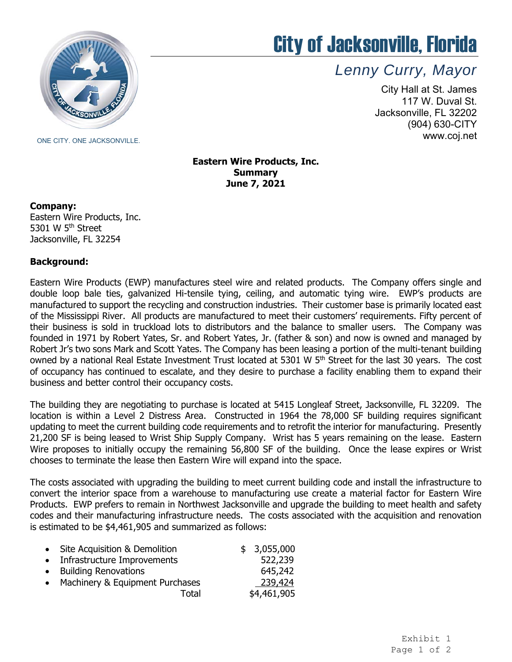

## City of Jacksonville, Florida

*Lenny Curry, Mayor* 

City Hall at St. James 117 W. Duval St. Jacksonville, FL 32202 (904) 630-CITY www.coj.net

**Eastern Wire Products, Inc. Summary June 7, 2021**

## **Company:**

Eastern Wire Products, Inc. 5301 W 5<sup>th</sup> Street Jacksonville, FL 32254

## **Background:**

 Eastern Wire Products (EWP) manufactures steel wire and related products. The Company offers single and double loop bale ties, galvanized Hi-tensile tying, ceiling, and automatic tying wire. EWP's products are manufactured to support the recycling and construction industries. Their customer base is primarily located east of the Mississippi River. All products are manufactured to meet their customers' requirements. Fifty percent of their business is sold in truckload lots to distributors and the balance to smaller users. The Company was Robert Jr's two sons Mark and Scott Yates. The Company has been leasing a portion of the multi-tenant building owned by a national Real Estate Investment Trust located at 5301 W 5<sup>th</sup> Street for the last 30 years. The cost of occupancy has continued to escalate, and they desire to purchase a facility enabling them to expand their business and better control their occupancy costs. founded in 1971 by Robert Yates, Sr. and Robert Yates, Jr. (father & son) and now is owned and managed by

 The building they are negotiating to purchase is located at 5415 Longleaf Street, Jacksonville, FL 32209. The updating to meet the current building code requirements and to retrofit the interior for manufacturing. Presently Wire proposes to initially occupy the remaining 56,800 SF of the building. Once the lease expires or Wrist location is within a Level 2 Distress Area. Constructed in 1964 the 78,000 SF building requires significant 21,200 SF is being leased to Wrist Ship Supply Company. Wrist has 5 years remaining on the lease. Eastern chooses to terminate the lease then Eastern Wire will expand into the space.

 The costs associated with upgrading the building to meet current building code and install the infrastructure to convert the interior space from a warehouse to manufacturing use create a material factor for Eastern Wire Products. EWP prefers to remain in Northwest Jacksonville and upgrade the building to meet health and safety codes and their manufacturing infrastructure needs. The costs associated with the acquisition and renovation is estimated to be \$4,461,905 and summarized as follows:

| $\bullet$ | Site Acquisition & Demolition   | \$3,055,000 |
|-----------|---------------------------------|-------------|
| $\bullet$ | Infrastructure Improvements     | 522,239     |
|           | • Building Renovations          | 645,242     |
| $\bullet$ | Machinery & Equipment Purchases | 239,424     |
|           | Total                           | \$4,461,905 |